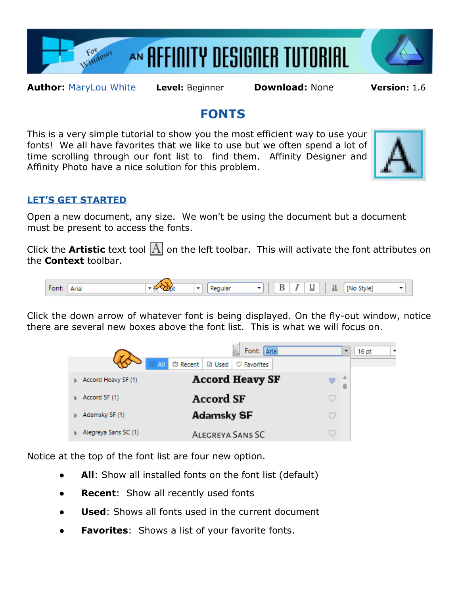





**Author:** [MaryLou White](mailto:mlwhite@pircnet.com) **Level:** Beginner **Download:** None **Version:** 1.6

## **FONTS**

This is a very simple tutorial to show you the most efficient way to use your fonts! We all have favorites that we like to use but we often spend a lot of time scrolling through our font list to find them. Affinity Designer and Affinity Photo have a nice solution for this problem.



## **LET'S GET STARTED**

Open a new document, any size. We won't be using the document but a document must be present to access the fonts.

Click the **Artistic** text tool  $\overline{A}$  on the left toolbar. This will activate the font attributes on the **Context** toolbar.



Click the down arrow of whatever font is being displayed. On the fly-out window, notice there are several new boxes above the font list. This is what we will focus on.



Notice at the top of the font list are four new option.

- **All**: Show all installed fonts on the font list (default)
- **Recent:** Show all recently used fonts
- **Used:** Shows all fonts used in the current document
- **Favorites**: Shows a list of your favorite fonts.